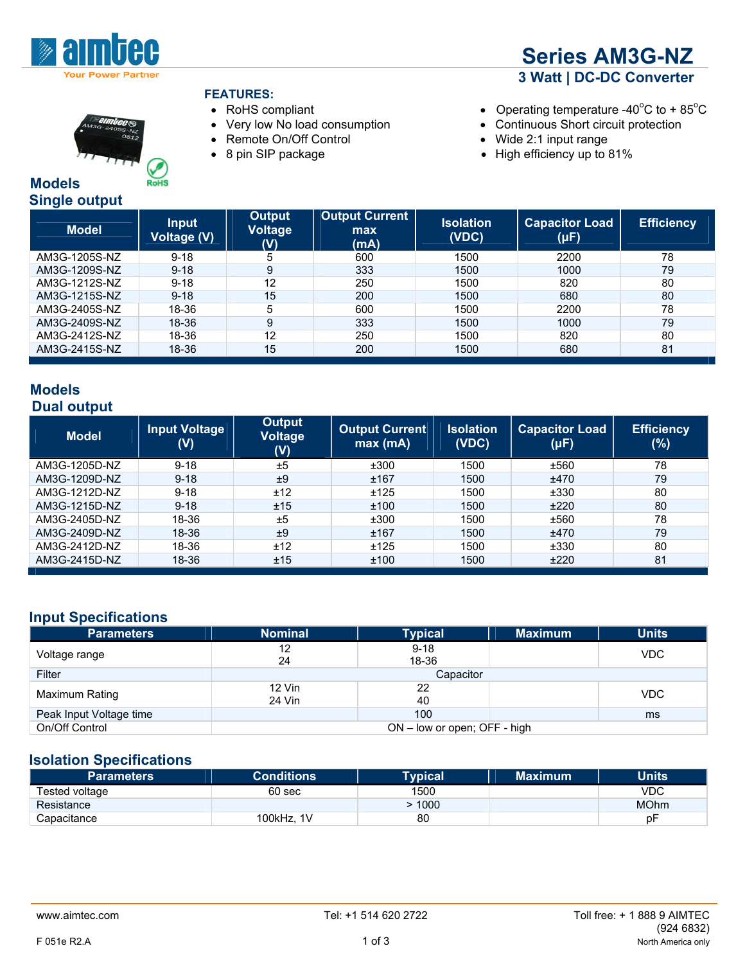

#### **FEATURES:**

- 
- 
- 
- 



- RoHS compliant  $\bullet$  Operating temperature -40°C to + 85°C
- Very low No load consumption Continuous Short circuit protection
	-
- Remote On/Off Control Wide 2:1 input range  $\bullet$  High efficiency up to 81%

| <b>Models</b> |                      |
|---------------|----------------------|
|               | <b>Single output</b> |

| <u> grot to support</u><br><b>Model</b> | <b>Input</b><br>Voltage (V) | <b>Output</b><br><b>Voltage</b><br>(V) | <b>Output Current</b><br>max<br>(mA) | <b>Isolation</b><br>(VDC) | <b>Capacitor Load</b><br>$(\mu F)$ | <b>Efficiency</b> |
|-----------------------------------------|-----------------------------|----------------------------------------|--------------------------------------|---------------------------|------------------------------------|-------------------|
| AM3G-1205S-NZ                           | $9 - 18$                    | 5                                      | 600                                  | 1500                      | 2200                               | 78                |
| AM3G-1209S-NZ                           | $9 - 18$                    | 9                                      | 333                                  | 1500                      | 1000                               | 79                |
| AM3G-1212S-NZ                           | $9 - 18$                    | 12                                     | 250                                  | 1500                      | 820                                | 80                |
| AM3G-1215S-NZ                           | $9 - 18$                    | 15                                     | 200                                  | 1500                      | 680                                | 80                |
| AM3G-2405S-NZ                           | 18-36                       | 5                                      | 600                                  | 1500                      | 2200                               | 78                |
| AM3G-2409S-NZ                           | 18-36                       | 9                                      | 333                                  | 1500                      | 1000                               | 79                |
| AM3G-2412S-NZ                           | 18-36                       | 12                                     | 250                                  | 1500                      | 820                                | 80                |
| AM3G-2415S-NZ                           | 18-36                       | 15                                     | 200                                  | 1500                      | 680                                | 81                |
|                                         |                             |                                        |                                      |                           |                                    |                   |

#### **Models Dual output**

| <b>Model</b>  | <b>Input Voltage</b><br>(V) | Output<br><b>Voltage</b><br>(V) | <b>Output Current</b><br>max(mA) | <b>Isolation</b><br>(VDC) | <b>Capacitor Load</b><br>$(\mu F)$ | <b>Efficiency</b><br>(%) |
|---------------|-----------------------------|---------------------------------|----------------------------------|---------------------------|------------------------------------|--------------------------|
| AM3G-1205D-NZ | $9 - 18$                    | ±5                              | ±300                             | 1500                      | ±560                               | 78                       |
| AM3G-1209D-NZ | $9 - 18$                    | ±9                              | ±167                             | 1500                      | ±470                               | 79                       |
| AM3G-1212D-NZ | $9 - 18$                    | ±12                             | ±125                             | 1500                      | ±330                               | 80                       |
| AM3G-1215D-NZ | $9 - 18$                    | ±15                             | ±100                             | 1500                      | ±220                               | 80                       |
| AM3G-2405D-NZ | 18-36                       | ±5                              | ±300                             | 1500                      | ±560                               | 78                       |
| AM3G-2409D-NZ | 18-36                       | ±9                              | ±167                             | 1500                      | ±470                               | 79                       |
| AM3G-2412D-NZ | 18-36                       | ±12                             | ±125                             | 1500                      | ±330                               | 80                       |
| AM3G-2415D-NZ | 18-36                       | ±15                             | ±100                             | 1500                      | ±220                               | 81                       |

# **Input Specifications**

| <b>Parameters</b>       | <b>Nominal</b>               | <b>Typical</b>    | <b>Maximum</b> | <b>Units</b> |  |
|-------------------------|------------------------------|-------------------|----------------|--------------|--|
| Voltage range           | 12<br>24                     | $9 - 18$<br>18-36 |                | <b>VDC</b>   |  |
| Filter                  | Capacitor                    |                   |                |              |  |
| Maximum Rating          | 12 Vin<br>24 Vin             | 22<br>40          |                | <b>VDC</b>   |  |
| Peak Input Voltage time |                              | 100               |                | ms           |  |
| On/Off Control          | ON – low or open; OFF - high |                   |                |              |  |

#### **Isolation Specifications**

| Parameters     | <b>Conditions</b> | Tvpical' | <b>Maximum</b> | <b>Units</b> |
|----------------|-------------------|----------|----------------|--------------|
| Tested voltage | 60 sec            | 1500     |                | VDC          |
| Resistance     |                   | 1000     |                | <b>MOhm</b>  |
| Capacitance    | 100kHz. 1V        | 80       |                | рF           |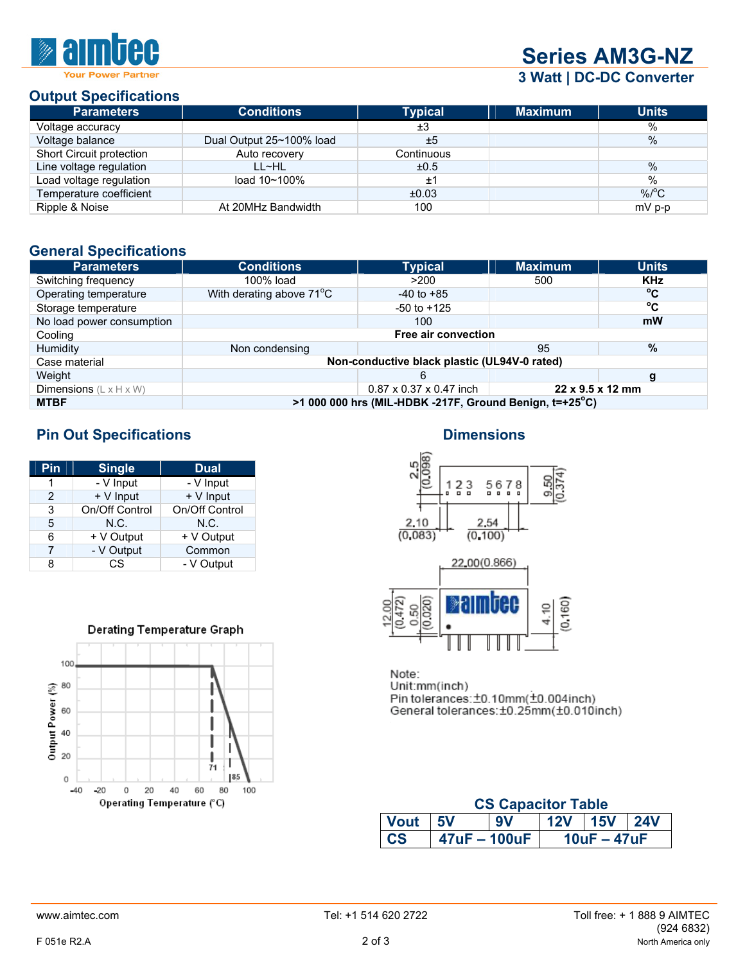

# **Series AM3G-NZ**

 **3 Watt | DC-DC Converter**

# **Output Specifications**

| <b>Parameters</b>        | <b>Conditions</b>        | <b>Typical</b> | <b>Maximum</b> | <b>Units</b>       |
|--------------------------|--------------------------|----------------|----------------|--------------------|
| Voltage accuracy         |                          | ±3             |                | $\%$               |
| Voltage balance          | Dual Output 25~100% load | ±5             |                | $\%$               |
| Short Circuit protection | Auto recovery            | Continuous     |                |                    |
| Line voltage regulation  | LL~HL                    | ±0.5           |                | $\%$               |
| Load voltage regulation  | load 10~100%             | $\pm 1$        |                | $\frac{0}{0}$      |
| Temperature coefficient  |                          | ±0.03          |                | $%$ <sup>o</sup> C |
| Ripple & Noise           | At 20MHz Bandwidth       | 100            |                | $mV$ p-p           |

## **General Specifications**

| <b>Parameters</b>                         | <b>Conditions</b>                                                   | <b>Typical</b>  | <b>Maximum</b> | <b>Units</b> |  |
|-------------------------------------------|---------------------------------------------------------------------|-----------------|----------------|--------------|--|
| Switching frequency                       | 100% load                                                           | >200            | 500            | <b>KHz</b>   |  |
| Operating temperature                     | With derating above 71°C                                            | $-40$ to $+85$  |                | °C           |  |
| Storage temperature                       |                                                                     | $-50$ to $+125$ |                | $^{\circ}$ C |  |
| No load power consumption                 |                                                                     | 100             |                | mW           |  |
| Cooling                                   | Free air convection                                                 |                 |                |              |  |
| Humidity                                  | Non condensing                                                      |                 | 95             | $\%$         |  |
| Case material                             | Non-conductive black plastic (UL94V-0 rated)                        |                 |                |              |  |
| Weight                                    |                                                                     | 6               |                | g            |  |
| <b>Dimensions</b> $(L \times H \times W)$ | $0.87 \times 0.37 \times 0.47$ inch<br>$22 \times 9.5 \times 12$ mm |                 |                |              |  |
| <b>MTBF</b>                               | $>1000000$ hrs (MIL-HDBK -217F, Ground Benign, $t=+25^{\circ}$ C)   |                 |                |              |  |

# **Pin Out Specifications Dimensions Dimensions**

| Pin             | <b>Single</b>  | <b>Dual</b>    |  |
|-----------------|----------------|----------------|--|
|                 | - V Input      | - V Input      |  |
| 2               | + V Input      | + V Input      |  |
| 3               | On/Off Control | On/Off Control |  |
| 5               | N.C.           | N.C.           |  |
| + V Output<br>6 |                | + V Output     |  |
| - V Output<br>7 |                | Common         |  |
| CS<br>8         |                | - V Output     |  |









Note: Unit:mm(inch) Pin tolerances: ±0.10mm(±0.004inch)<br>General tolerances: ±0.25mm(±0.010inch)

| <b>CS Capacitor Table</b>                                     |                |  |  |               |  |  |
|---------------------------------------------------------------|----------------|--|--|---------------|--|--|
| 12V 15V<br><b>Vout</b><br>9V<br>$\overline{24V}$<br><b>5V</b> |                |  |  |               |  |  |
| C <sub>S</sub>                                                | $47uF - 100uF$ |  |  | $10uF - 47uF$ |  |  |